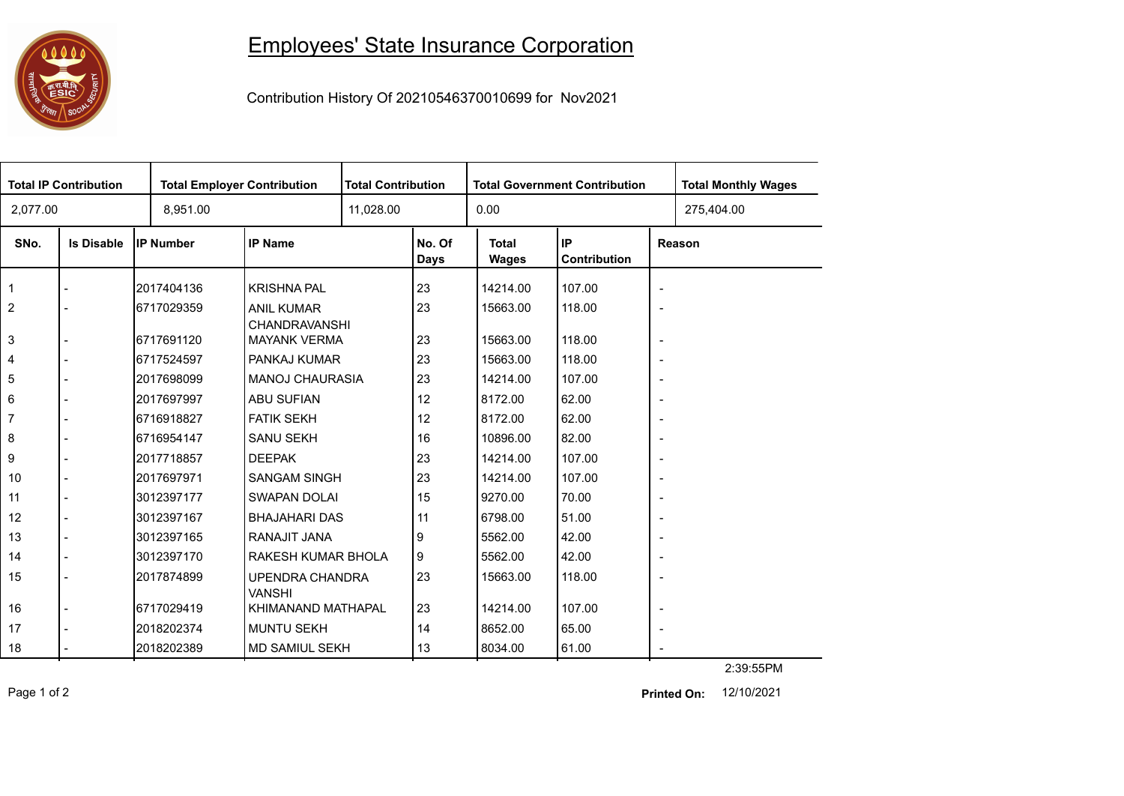## 

## Employees' State Insurance Corporation

Contribution History Of 20210546370010699 for Nov2021

| <b>Total IP Contribution</b> |                   |                  | <b>Total Employer Contribution</b>        |           | <b>Total Contribution</b> |                              | <b>Total Government Contribution</b> | <b>Total Monthly Wages</b> |            |  |
|------------------------------|-------------------|------------------|-------------------------------------------|-----------|---------------------------|------------------------------|--------------------------------------|----------------------------|------------|--|
| 2,077.00                     |                   | 8,951.00         |                                           | 11,028.00 |                           | 0.00                         |                                      |                            | 275,404.00 |  |
| SNo.                         | <b>Is Disable</b> | <b>IP Number</b> | <b>IP Name</b>                            |           | No. Of<br>Days            | <b>Total</b><br><b>Wages</b> | IP.<br>Contribution                  | Reason                     |            |  |
| $\overline{1}$               |                   | 2017404136       | <b>KRISHNA PAL</b>                        |           | 23                        | 14214.00                     | 107.00                               | $\overline{\phantom{a}}$   |            |  |
| $\overline{2}$               |                   | 6717029359       | <b>ANIL KUMAR</b><br><b>CHANDRAVANSHI</b> |           | 23                        | 15663.00                     | 118.00                               | $\overline{\phantom{a}}$   |            |  |
| 3                            |                   | 6717691120       | <b>MAYANK VERMA</b>                       |           | 23                        | 15663.00                     | 118.00                               | $\overline{\phantom{a}}$   |            |  |
| $\overline{4}$               |                   | 6717524597       | PANKAJ KUMAR                              |           | 23                        | 15663.00                     | 118.00                               | $\overline{\phantom{a}}$   |            |  |
| 5                            |                   | 2017698099       | <b>MANOJ CHAURASIA</b>                    |           | 23                        | 14214.00                     | 107.00                               | $\overline{\phantom{a}}$   |            |  |
| 6                            |                   | 2017697997       | ABU SUFIAN                                |           | 12                        | 8172.00                      | 62.00                                | $\overline{\phantom{a}}$   |            |  |
| $\overline{7}$               |                   | 6716918827       | <b>FATIK SEKH</b>                         |           | 12                        | 8172.00                      | 62.00                                | $\overline{\phantom{a}}$   |            |  |
| 8                            |                   | 6716954147       | <b>SANU SEKH</b>                          |           | 16                        | 10896.00                     | 82.00                                | $\overline{\phantom{a}}$   |            |  |
| 9                            |                   | l2017718857      | <b>DEEPAK</b>                             |           | 23                        | 14214.00                     | 107.00                               | $\overline{\phantom{a}}$   |            |  |
| 10                           |                   | 2017697971       | <b>SANGAM SINGH</b>                       |           | 23                        | 14214.00                     | 107.00                               | $\overline{\phantom{a}}$   |            |  |
| 11                           |                   | 3012397177       | <b>SWAPAN DOLAI</b>                       |           | 15                        | 9270.00                      | 70.00                                | $\overline{\phantom{a}}$   |            |  |
| 12                           |                   | 3012397167       | <b>BHAJAHARI DAS</b>                      |           | 11                        | 6798.00                      | 51.00                                | $\overline{\phantom{a}}$   |            |  |
| 13                           |                   | 3012397165       | RANAJIT JANA                              |           | 9                         | 5562.00                      | 42.00                                | $\overline{\phantom{a}}$   |            |  |
| 14                           |                   | 3012397170       | RAKESH KUMAR BHOLA                        |           | 9                         | 5562.00                      | 42.00                                | $\overline{\phantom{a}}$   |            |  |
| 15                           |                   | 2017874899       | UPENDRA CHANDRA<br><b>VANSHI</b>          |           | 23                        | 15663.00                     | 118.00                               | $\overline{\phantom{a}}$   |            |  |
| 16                           |                   | 6717029419       | KHIMANAND MATHAPAL                        |           | 23                        | 14214.00                     | 107.00                               | $\overline{\phantom{a}}$   |            |  |
| 17                           |                   | 2018202374       | <b>MUNTU SEKH</b>                         |           | 14                        | 8652.00                      | 65.00                                | $\overline{\phantom{a}}$   |            |  |
| 18                           |                   | 2018202389       | <b>MD SAMIUL SEKH</b>                     |           | 13                        | 8034.00                      | 61.00                                |                            |            |  |

Page 1 of 2 12/10/2021 **Printed On:**

2:39:55PM